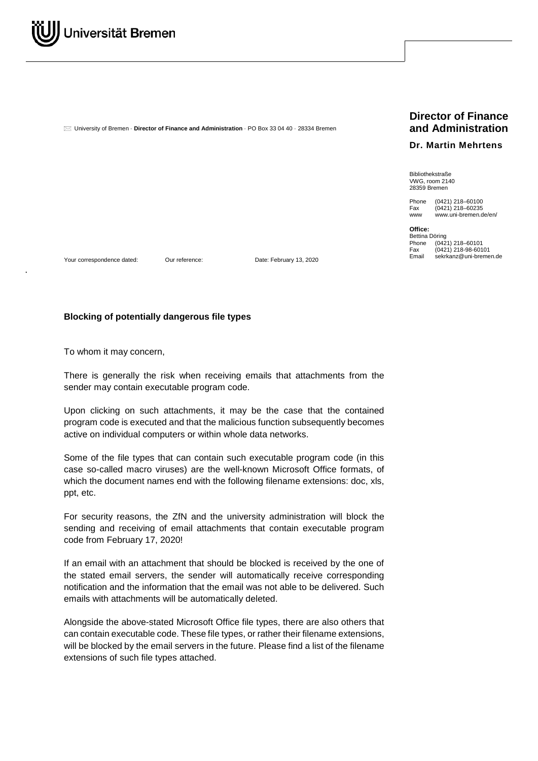University of Bremen · **Director of Finance and Administration** · PO Box 33 04 40 · 28334 Bremen

## **Director of Finance and Administration**

## **Dr. Martin Mehrtens**

Bibliothekstraße VWG, room 2140 28359 Bremen

Phone (0421) 218-60100<br>Fax (0421) 218-60235 Fax (0421) 218-60235<br>www.uni-bremen.com www.uni-bremen.de/en/

**Office:** Bettina Döring<br>Phone (042 Phone (0421) 218-60101<br>Fax (0421) 218-98-601 Fax (0421) 218-98-60101

Your correspondence dated: Our reference: Date: February 13, 2020

## **Blocking of potentially dangerous file types**

To whom it may concern,

There is generally the risk when receiving emails that attachments from the sender may contain executable program code.

Upon clicking on such attachments, it may be the case that the contained program code is executed and that the malicious function subsequently becomes active on individual computers or within whole data networks.

Some of the file types that can contain such executable program code (in this case so-called macro viruses) are the well-known Microsoft Office formats, of which the document names end with the following filename extensions: doc, xls, ppt, etc.

For security reasons, the ZfN and the university administration will block the sending and receiving of email attachments that contain executable program code from February 17, 2020!

If an email with an attachment that should be blocked is received by the one of the stated email servers, the sender will automatically receive corresponding notification and the information that the email was not able to be delivered. Such emails with attachments will be automatically deleted.

Alongside the above-stated Microsoft Office file types, there are also others that can contain executable code. These file types, or rather their filename extensions, will be blocked by the email servers in the future. Please find a list of the filename extensions of such file types attached.